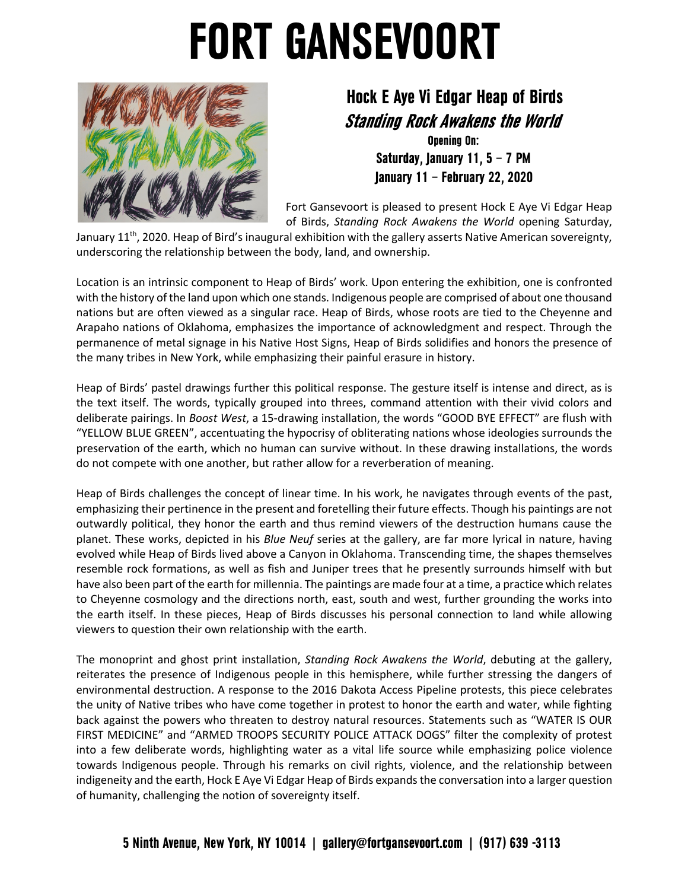## **FORT GANSEVOORT**



## **Hock E Aye Vi Edgar Heap of Birds Standing Rock Awakens the World**

**Opening On: Saturday, January 11, 5 – 7 PM January 11 – February 22, 2020**

Fort Gansevoort is pleased to present Hock E Aye Vi Edgar Heap of Birds, *Standing Rock Awakens the World* opening Saturday,

January 11<sup>th</sup>, 2020. Heap of Bird's inaugural exhibition with the gallery asserts Native American sovereignty, underscoring the relationship between the body, land, and ownership.

Location is an intrinsic component to Heap of Birds' work. Upon entering the exhibition, one is confronted with the history of the land upon which one stands. Indigenous people are comprised of about one thousand nations but are often viewed as a singular race. Heap of Birds, whose roots are tied to the Cheyenne and Arapaho nations of Oklahoma, emphasizes the importance of acknowledgment and respect. Through the permanence of metal signage in his Native Host Signs, Heap of Birds solidifies and honors the presence of the many tribes in New York, while emphasizing their painful erasure in history.

Heap of Birds' pastel drawings further this political response. The gesture itself is intense and direct, as is the text itself. The words, typically grouped into threes, command attention with their vivid colors and deliberate pairings. In *Boost West*, a 15-drawing installation, the words "GOOD BYE EFFECT" are flush with "YELLOW BLUE GREEN", accentuating the hypocrisy of obliterating nations whose ideologies surrounds the preservation of the earth, which no human can survive without. In these drawing installations, the words do not compete with one another, but rather allow for a reverberation of meaning.

Heap of Birds challenges the concept of linear time. In his work, he navigates through events of the past, emphasizing their pertinence in the present and foretelling their future effects. Though his paintings are not outwardly political, they honor the earth and thus remind viewers of the destruction humans cause the planet. These works, depicted in his *Blue Neuf* series at the gallery, are far more lyrical in nature, having evolved while Heap of Birds lived above a Canyon in Oklahoma. Transcending time, the shapes themselves resemble rock formations, as well as fish and Juniper trees that he presently surrounds himself with but have also been part of the earth for millennia. The paintings are made four at a time, a practice which relates to Cheyenne cosmology and the directions north, east, south and west, further grounding the works into the earth itself. In these pieces, Heap of Birds discusses his personal connection to land while allowing viewers to question their own relationship with the earth.

The monoprint and ghost print installation, *Standing Rock Awakens the World*, debuting at the gallery, reiterates the presence of Indigenous people in this hemisphere, while further stressing the dangers of environmental destruction. A response to the 2016 Dakota Access Pipeline protests, this piece celebrates the unity of Native tribes who have come together in protest to honor the earth and water, while fighting back against the powers who threaten to destroy natural resources. Statements such as "WATER IS OUR FIRST MEDICINE" and "ARMED TROOPS SECURITY POLICE ATTACK DOGS" filter the complexity of protest into a few deliberate words, highlighting water as a vital life source while emphasizing police violence towards Indigenous people. Through his remarks on civil rights, violence, and the relationship between indigeneity and the earth, Hock E Aye Vi Edgar Heap of Birds expands the conversation into a larger question of humanity, challenging the notion of sovereignty itself.